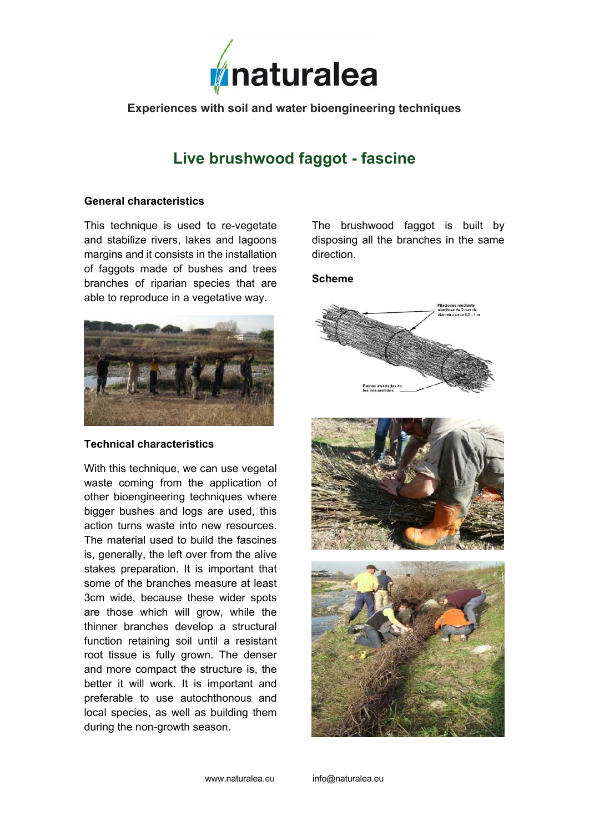

**Experiences with soil and water bioengineering techniques** 

# **Live brushwood faggot - fascine**

### **General characteristics**

This technique is used to re-vegetate and stabilize rivers, lakes and lagoons margins and it consists in the installation of faggots made of bushes and trees branches of riparian species that are able to reproduce in a vegetative way.



#### **Technical characteristics**

With this technique, we can use vegetal waste coming from the application of other bioengineering techniques where bigger bushes and logs are used, this action turns waste into new resources. The material used to build the fascines is, generally, the left over from the alive stakes preparation. It is important that some of the branches measure at least 3cm wide, because these wider spots are those which will grow, while the thinner branches develop a structural function retaining soil until a resistant root tissue is fully grown. The denser and more compact the structure is, the better it will work. It is important and preferable to use autochthonous and local species, as well as building them during the non-growth season.

The brushwood faggot is built by disposing all the branches in the same direction.

## **Scheme**